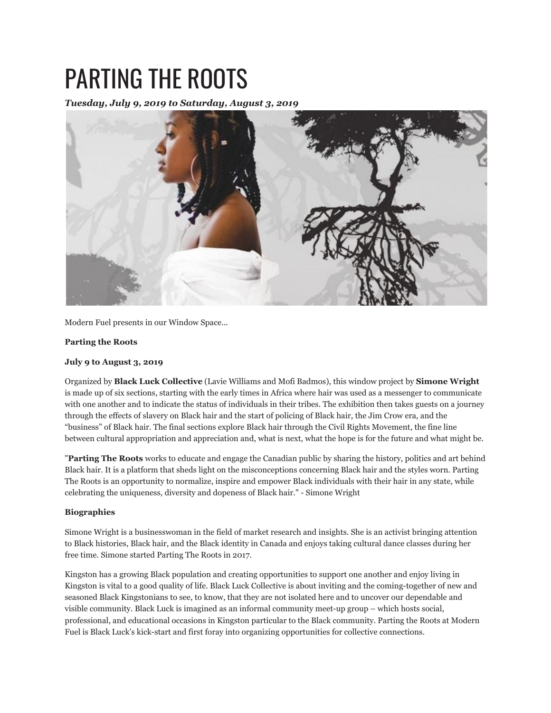## PARTING THE ROOTS

*Tuesday, July 9, 2019 to Saturday, August 3, 2019*



Modern Fuel presents in our Window Space...

## **Parting the Roots**

## **July 9 to August 3, 2019**

Organized by **Black Luck Collective** (Lavie Williams and Mofi Badmos), this window project by **Simone Wright** is made up of six sections, starting with the early times in Africa where hair was used as a messenger to communicate with one another and to indicate the status of individuals in their tribes. The exhibition then takes guests on a journey through the effects of slavery on Black hair and the start of policing of Black hair, the Jim Crow era, and the "business" of Black hair. The final sections explore Black hair through the Civil Rights Movement, the fine line between cultural appropriation and appreciation and, what is next, what the hope is for the future and what might be.

"**Parting The Roots** works to educate and engage the Canadian public by sharing the history, politics and art behind Black hair. It is a platform that sheds light on the misconceptions concerning Black hair and the styles worn. Parting The Roots is an opportunity to normalize, inspire and empower Black individuals with their hair in any state, while celebrating the uniqueness, diversity and dopeness of Black hair." - Simone Wright

## **Biographies**

Simone Wright is a businesswoman in the field of market research and insights. She is an activist bringing attention to Black histories, Black hair, and the Black identity in Canada and enjoys taking cultural dance classes during her free time. Simone started Parting The Roots in 2017.

Kingston has a growing Black population and creating opportunities to support one another and enjoy living in Kingston is vital to a good quality of life. Black Luck Collective is about inviting and the coming-together of new and seasoned Black Kingstonians to see, to know, that they are not isolated here and to uncover our dependable and visible community. Black Luck is imagined as an informal community meet-up group – which hosts social, professional, and educational occasions in Kingston particular to the Black community. Parting the Roots at Modern Fuel is Black Luck's kick-start and first foray into organizing opportunities for collective connections.